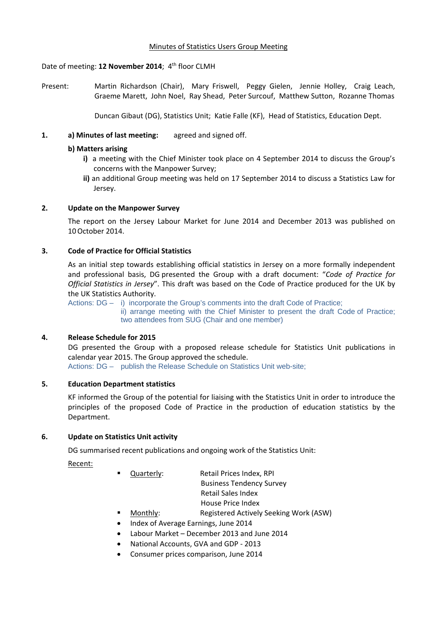### Minutes of Statistics Users Group Meeting

# Date of meeting: **12 November 2014**; 4th floor CLMH

Present: Martin Richardson (Chair), Mary Friswell, Peggy Gielen, Jennie Holley, Craig Leach, Graeme Marett, John Noel, Ray Shead, Peter Surcouf, Matthew Sutton, Rozanne Thomas

Duncan Gibaut (DG), Statistics Unit; Katie Falle (KF), Head of Statistics, Education Dept.

# **1. a) Minutes of last meeting:** agreed and signed off.

# **b) Matters arising**

- **i)** a meeting with the Chief Minister took place on 4 September 2014 to discuss the Group's concerns with the Manpower Survey;
- **ii)** an additional Group meeting was held on 17 September 2014 to discuss a Statistics Law for Jersey.

# **2. Update on the Manpower Survey**

The report on the Jersey Labour Market for June 2014 and December 2013 was published on 10October 2014.

# **3. Code of Practice for Official Statistics**

As an initial step towards establishing official statistics in Jersey on a more formally independent and professional basis, DG presented the Group with a draft document: "*Code of Practice for Official Statistics in Jersey*". This draft was based on the Code of Practice produced for the UK by the UK Statistics Authority.

Actions: DG – i) incorporate the Group's comments into the draft Code of Practice;

ii) arrange meeting with the Chief Minister to present the draft Code of Practice; two attendees from SUG (Chair and one member)

#### **4. Release Schedule for 2015**

DG presented the Group with a proposed release schedule for Statistics Unit publications in calendar year 2015. The Group approved the schedule.

Actions: DG – publish the Release Schedule on Statistics Unit web-site;

### **5. Education Department statistics**

KF informed the Group of the potential for liaising with the Statistics Unit in order to introduce the principles of the proposed Code of Practice in the production of education statistics by the Department.

### **6. Update on Statistics Unit activity**

DG summarised recent publications and ongoing work of the Statistics Unit:

Recent:

- Quarterly: Retail Prices Index, RPI
	- Business Tendency Survey
	- Retail Sales Index
	- House Price Index
	- Monthly: Registered Actively Seeking Work (ASW)
- Index of Average Earnings, June 2014
- Labour Market December 2013 and June 2014
- National Accounts, GVA and GDP ‐ 2013
- Consumer prices comparison, June 2014